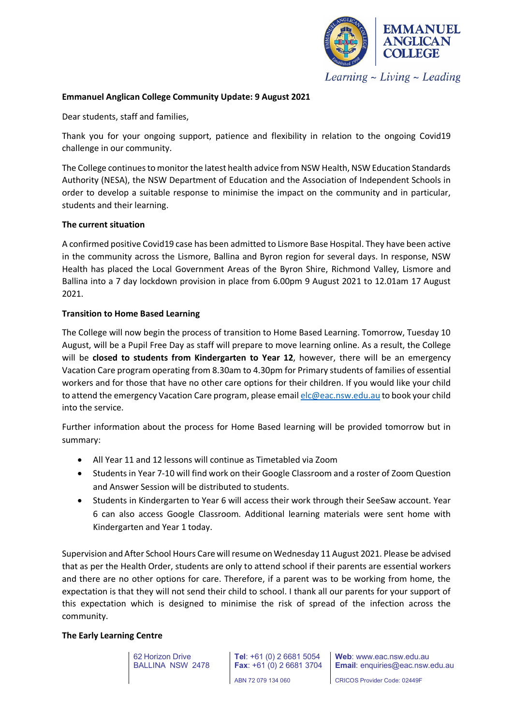

Learning  $\sim$  Living  $\sim$  Leading

# **Emmanuel Anglican College Community Update: 9 August 2021**

Dear students, staff and families,

Thank you for your ongoing support, patience and flexibility in relation to the ongoing Covid19 challenge in our community.

The College continues to monitor the latest health advice from NSW Health, NSW Education Standards Authority (NESA), the NSW Department of Education and the Association of Independent Schools in order to develop a suitable response to minimise the impact on the community and in particular, students and their learning.

# **The current situation**

A confirmed positive Covid19 case has been admitted to Lismore Base Hospital. They have been active in the community across the Lismore, Ballina and Byron region for several days. In response, NSW Health has placed the Local Government Areas of the Byron Shire, Richmond Valley, Lismore and Ballina into a 7 day lockdown provision in place from 6.00pm 9 August 2021 to 12.01am 17 August 2021.

# **Transition to Home Based Learning**

The College will now begin the process of transition to Home Based Learning. Tomorrow, Tuesday 10 August, will be a Pupil Free Day as staff will prepare to move learning online. As a result, the College will be **closed to students from Kindergarten to Year 12**, however, there will be an emergency Vacation Care program operating from 8.30am to 4.30pm for Primary students of families of essential workers and for those that have no other care options for their children. If you would like your child to attend the emergency Vacation Care program, please email [elc@eac.nsw.edu.au](mailto:elc@eac.nsw.edu.au) to book your child into the service.

Further information about the process for Home Based learning will be provided tomorrow but in summary:

- All Year 11 and 12 lessons will continue as Timetabled via Zoom
- Students in Year 7-10 will find work on their Google Classroom and a roster of Zoom Question and Answer Session will be distributed to students.
- Students in Kindergarten to Year 6 will access their work through their SeeSaw account. Year 6 can also access Google Classroom. Additional learning materials were sent home with Kindergarten and Year 1 today.

Supervision and After School Hours Care will resume on Wednesday 11 August 2021. Please be advised that as per the Health Order, students are only to attend school if their parents are essential workers and there are no other options for care. Therefore, if a parent was to be working from home, the expectation is that they will not send their child to school. I thank all our parents for your support of this expectation which is designed to minimise the risk of spread of the infection across the community.

## **The Early Learning Centre**

62 Horizon Drive BALLINA NSW 2478

CRICOS Provider Code: 02449F